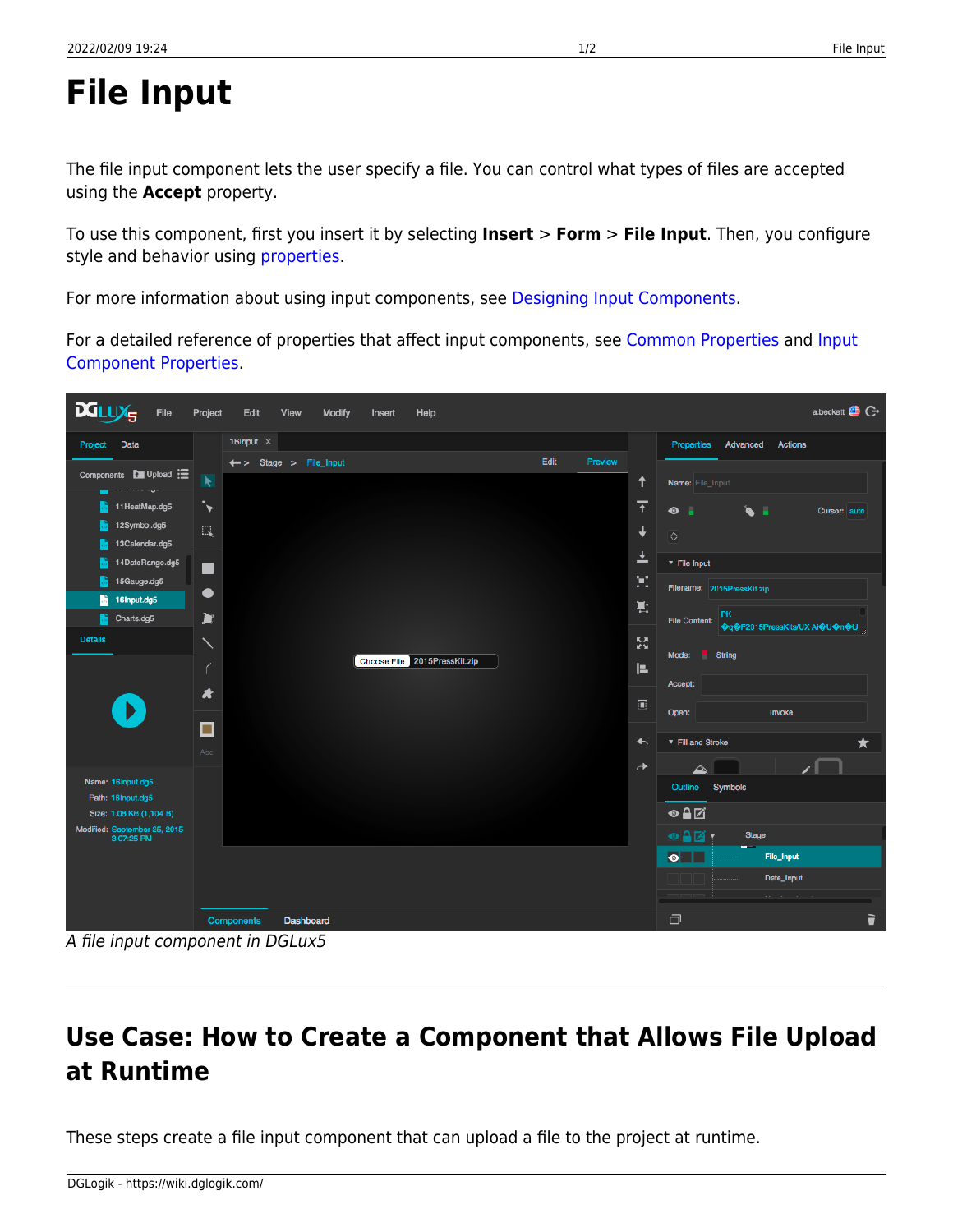## **File Input**

The file input component lets the user specify a file. You can control what types of files are accepted using the **Accept** property.

To use this component, first you insert it by selecting **Insert** > **Form** > **File Input**. Then, you configure style and behavior using [properties](https://wiki.dglogik.com/dglux5_wiki:workspace_and_workflow:panels_and_menus:properties_panel).

For more information about using input components, see [Designing Input Components.](https://wiki.dglogik.com/dglux5_wiki:widgets_and_property_inspector:form_input:designing:home)

For a detailed reference of properties that affect input components, see [Common Properties](https://wiki.dglogik.com/dglux5_wiki:widgets_and_property_inspector:property_inspector:allcomponents:home) and [Input](https://wiki.dglogik.com/dglux5_wiki:widgets_and_property_inspector:property_inspector:input:home) [Component Properties.](https://wiki.dglogik.com/dglux5_wiki:widgets_and_property_inspector:property_inspector:input:home)



A file input component in DGLux5

## **Use Case: How to Create a Component that Allows File Upload at Runtime**

These steps create a file input component that can upload a file to the project at runtime.